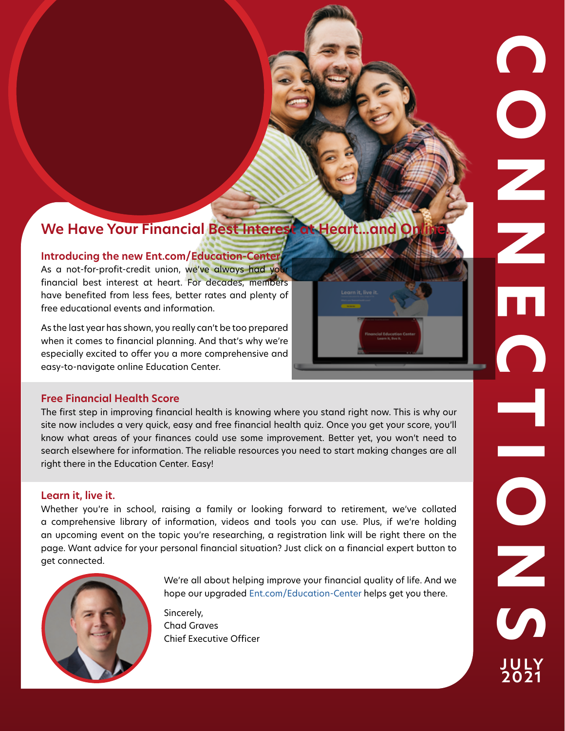# **We Have Your Financial Best Interest at Heart...and O**

## **Introducing the new Ent.com/Education-Center**

As a not-for-profit-credit union, we've always had you financial best interest at heart. For decades, members have benefited from less fees, better rates and plenty of free educational events and information.

As the last year has shown, you really can't be too prepared when it comes to financial planning. And that's why we're especially excited to offer you a more comprehensive and easy-to-navigate online Education Center.

## **Free Financial Health Score**

The first step in improving financial health is knowing where you stand right now. This is why our site now includes a very quick, easy and free financial health quiz. Once you get your score, you'll know what areas of your finances could use some improvement. Better yet, you won't need to search elsewhere for information. The reliable resources you need to start making changes are all right there in the Education Center. Easy!

an upcoming event on the topic you're researching, a registration link will be right there on the page. Want advice for your personal financial situation? Just click on a financial expert button to get connected. **Learn it, live it.**<br>Whether you're in school, raising a family or looking forward to retirement, we've collated<br>a comprehensive library of information, videos and tools you can use. Plus, if we're holding Whether you're in school, raising a family or looking forward to retirement, we've collated a comprehensive library of information, videos and tools you can use. Plus, if we're holding



We're all about helping improve your financial quality of life. And we hope our upgraded [Ent.com/Education-Center](https://www.ent.com/Education-Center) helps get you there.

Sincerely, Chad Graves Chief Executive Officer